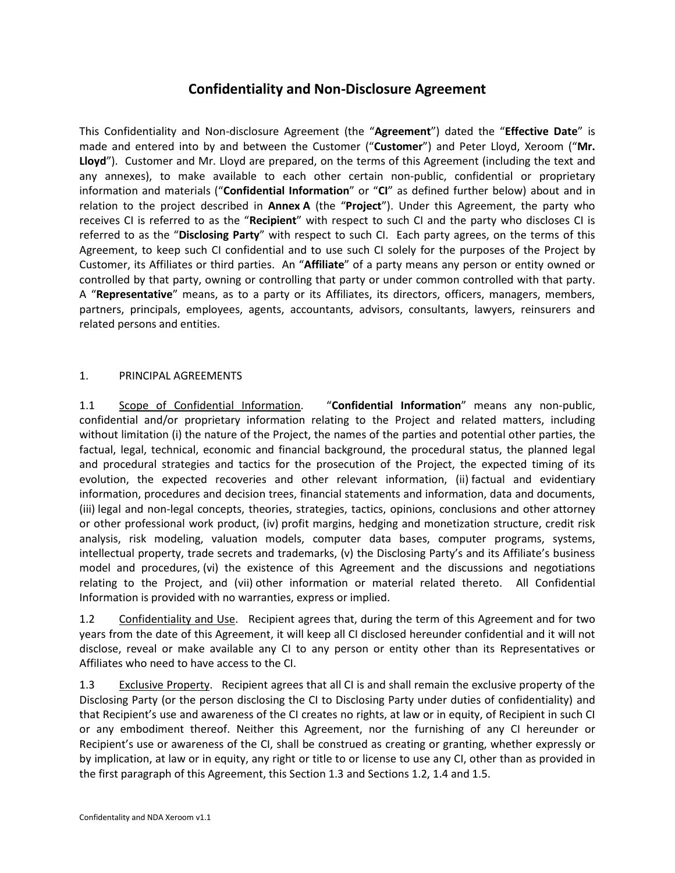## **Confidentiality and Non-Disclosure Agreement**

This Confidentiality and Non-disclosure Agreement (the "**Agreement**") dated the "**Effective Date**" is made and entered into by and between the Customer ("**Customer**") and Peter Lloyd, Xeroom ("**Mr. Lloyd**"). Customer and Mr. Lloyd are prepared, on the terms of this Agreement (including the text and any annexes), to make available to each other certain non-public, confidential or proprietary information and materials ("**Confidential Information**" or "**CI**" as defined further below) about and in relation to the project described in **Annex A** (the "**Project**"). Under this Agreement, the party who receives CI is referred to as the "**Recipient**" with respect to such CI and the party who discloses CI is referred to as the "**Disclosing Party**" with respect to such CI. Each party agrees, on the terms of this Agreement, to keep such CI confidential and to use such CI solely for the purposes of the Project by Customer, its Affiliates or third parties. An "**Affiliate**" of a party means any person or entity owned or controlled by that party, owning or controlling that party or under common controlled with that party. A "**Representative**" means, as to a party or its Affiliates, its directors, officers, managers, members, partners, principals, employees, agents, accountants, advisors, consultants, lawyers, reinsurers and related persons and entities.

## 1. PRINCIPAL AGREEMENTS

1.1 Scope of Confidential Information. "**Confidential Information**" means any non-public, confidential and/or proprietary information relating to the Project and related matters, including without limitation (i) the nature of the Project, the names of the parties and potential other parties, the factual, legal, technical, economic and financial background, the procedural status, the planned legal and procedural strategies and tactics for the prosecution of the Project, the expected timing of its evolution, the expected recoveries and other relevant information, (ii) factual and evidentiary information, procedures and decision trees, financial statements and information, data and documents, (iii) legal and non-legal concepts, theories, strategies, tactics, opinions, conclusions and other attorney or other professional work product, (iv) profit margins, hedging and monetization structure, credit risk analysis, risk modeling, valuation models, computer data bases, computer programs, systems, intellectual property, trade secrets and trademarks, (v) the Disclosing Party's and its Affiliate's business model and procedures, (vi) the existence of this Agreement and the discussions and negotiations relating to the Project, and (vii) other information or material related thereto. All Confidential Information is provided with no warranties, express or implied.

1.2 Confidentiality and Use. Recipient agrees that, during the term of this Agreement and for two years from the date of this Agreement, it will keep all CI disclosed hereunder confidential and it will not disclose, reveal or make available any CI to any person or entity other than its Representatives or Affiliates who need to have access to the CI.

1.3 Exclusive Property. Recipient agrees that all CI is and shall remain the exclusive property of the Disclosing Party (or the person disclosing the CI to Disclosing Party under duties of confidentiality) and that Recipient's use and awareness of the CI creates no rights, at law or in equity, of Recipient in such CI or any embodiment thereof. Neither this Agreement, nor the furnishing of any CI hereunder or Recipient's use or awareness of the CI, shall be construed as creating or granting, whether expressly or by implication, at law or in equity, any right or title to or license to use any CI, other than as provided in the first paragraph of this Agreement, this Section 1.3 and Sections 1.2, 1.4 and 1.5.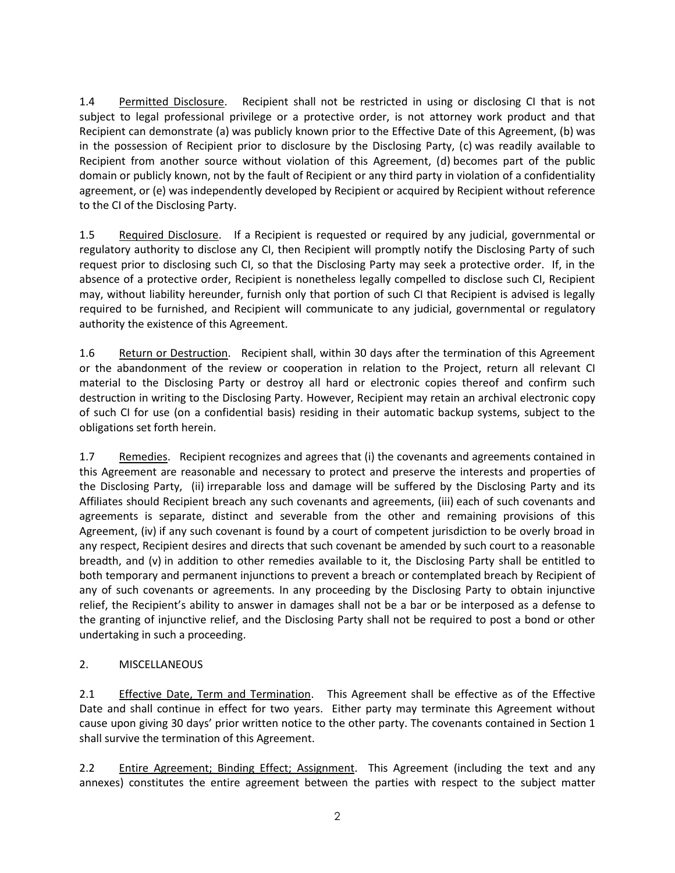1.4 Permitted Disclosure. Recipient shall not be restricted in using or disclosing CI that is not subject to legal professional privilege or a protective order, is not attorney work product and that Recipient can demonstrate (a) was publicly known prior to the Effective Date of this Agreement, (b) was in the possession of Recipient prior to disclosure by the Disclosing Party, (c) was readily available to Recipient from another source without violation of this Agreement, (d) becomes part of the public domain or publicly known, not by the fault of Recipient or any third party in violation of a confidentiality agreement, or (e) was independently developed by Recipient or acquired by Recipient without reference to the CI of the Disclosing Party.

1.5 Required Disclosure. If a Recipient is requested or required by any judicial, governmental or regulatory authority to disclose any CI, then Recipient will promptly notify the Disclosing Party of such request prior to disclosing such CI, so that the Disclosing Party may seek a protective order. If, in the absence of a protective order, Recipient is nonetheless legally compelled to disclose such CI, Recipient may, without liability hereunder, furnish only that portion of such CI that Recipient is advised is legally required to be furnished, and Recipient will communicate to any judicial, governmental or regulatory authority the existence of this Agreement.

1.6 Return or Destruction. Recipient shall, within 30 days after the termination of this Agreement or the abandonment of the review or cooperation in relation to the Project, return all relevant CI material to the Disclosing Party or destroy all hard or electronic copies thereof and confirm such destruction in writing to the Disclosing Party. However, Recipient may retain an archival electronic copy of such CI for use (on a confidential basis) residing in their automatic backup systems, subject to the obligations set forth herein.

1.7 Remedies. Recipient recognizes and agrees that (i) the covenants and agreements contained in this Agreement are reasonable and necessary to protect and preserve the interests and properties of the Disclosing Party, (ii) irreparable loss and damage will be suffered by the Disclosing Party and its Affiliates should Recipient breach any such covenants and agreements, (iii) each of such covenants and agreements is separate, distinct and severable from the other and remaining provisions of this Agreement, (iv) if any such covenant is found by a court of competent jurisdiction to be overly broad in any respect, Recipient desires and directs that such covenant be amended by such court to a reasonable breadth, and (v) in addition to other remedies available to it, the Disclosing Party shall be entitled to both temporary and permanent injunctions to prevent a breach or contemplated breach by Recipient of any of such covenants or agreements. In any proceeding by the Disclosing Party to obtain injunctive relief, the Recipient's ability to answer in damages shall not be a bar or be interposed as a defense to the granting of injunctive relief, and the Disclosing Party shall not be required to post a bond or other undertaking in such a proceeding.

## 2. MISCELLANEOUS

2.1 Effective Date, Term and Termination. This Agreement shall be effective as of the Effective Date and shall continue in effect for two years. Either party may terminate this Agreement without cause upon giving 30 days' prior written notice to the other party. The covenants contained in Section 1 shall survive the termination of this Agreement.

2.2 Entire Agreement; Binding Effect; Assignment. This Agreement (including the text and any annexes) constitutes the entire agreement between the parties with respect to the subject matter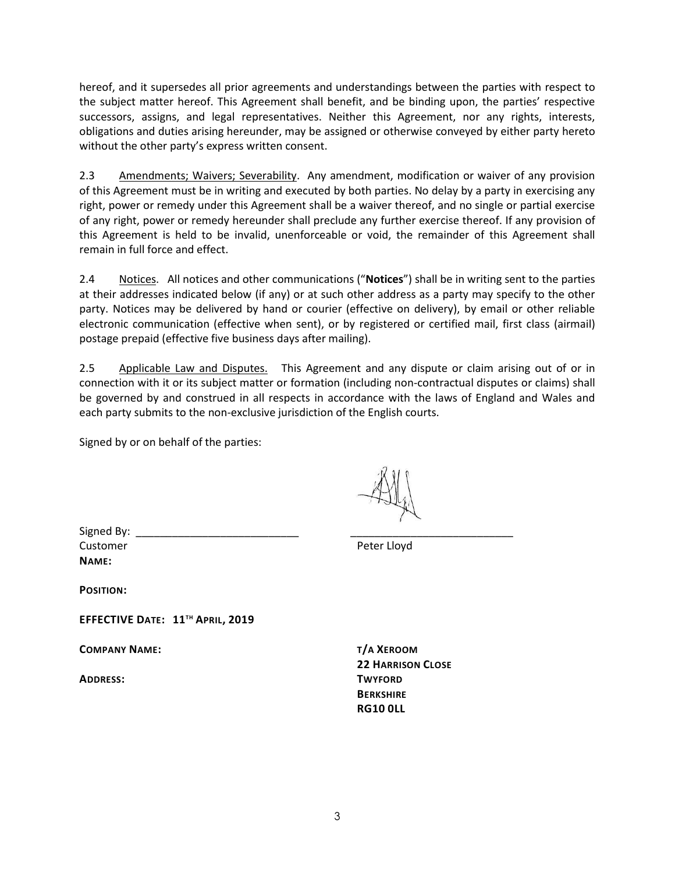hereof, and it supersedes all prior agreements and understandings between the parties with respect to the subject matter hereof. This Agreement shall benefit, and be binding upon, the parties' respective successors, assigns, and legal representatives. Neither this Agreement, nor any rights, interests, obligations and duties arising hereunder, may be assigned or otherwise conveyed by either party hereto without the other party's express written consent.

2.3 Amendments; Waivers; Severability. Any amendment, modification or waiver of any provision of this Agreement must be in writing and executed by both parties. No delay by a party in exercising any right, power or remedy under this Agreement shall be a waiver thereof, and no single or partial exercise of any right, power or remedy hereunder shall preclude any further exercise thereof. If any provision of this Agreement is held to be invalid, unenforceable or void, the remainder of this Agreement shall remain in full force and effect.

2.4 Notices. All notices and other communications ("**Notices**") shall be in writing sent to the parties at their addresses indicated below (if any) or at such other address as a party may specify to the other party. Notices may be delivered by hand or courier (effective on delivery), by email or other reliable electronic communication (effective when sent), or by registered or certified mail, first class (airmail) postage prepaid (effective five business days after mailing).

2.5 Applicable Law and Disputes. This Agreement and any dispute or claim arising out of or in connection with it or its subject matter or formation (including non-contractual disputes or claims) shall be governed by and construed in all respects in accordance with the laws of England and Wales and each party submits to the non-exclusive jurisdiction of the English courts.

Signed by or on behalf of the parties:

Signed By: Customer **Peter Lloyd NAME:**

**POSITION:**

**EFFECTIVE DATE: 11TH APRIL, 2019** 

**COMPANY NAME: T/A XEROOM**

**ADDRESS: TWYFORD**

**22 HARRISON CLOSE BERKSHIRE RG10 0LL**